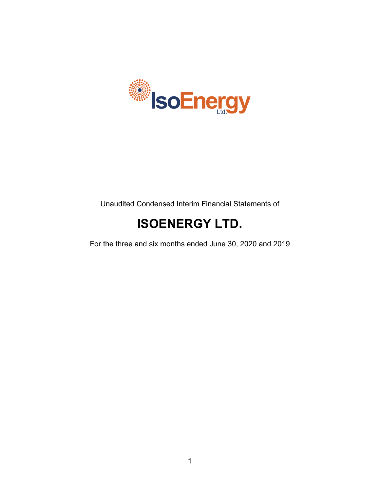

Unaudited Condensed Interim Financial Statements of

# **ISOENERGY LTD.**

For the three and six months ended June 30, 2020 and 2019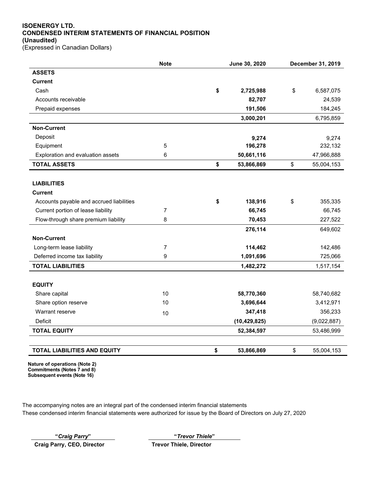## **ISOENERGY LTD. CONDENSED INTERIM STATEMENTS OF FINANCIAL POSITION (Unaudited)**

(Expressed in Canadian Dollars)

|                                          | <b>Note</b>    | June 30, 2020    |    | December 31, 2019 |
|------------------------------------------|----------------|------------------|----|-------------------|
| <b>ASSETS</b>                            |                |                  |    |                   |
| <b>Current</b>                           |                |                  |    |                   |
| Cash                                     |                | \$<br>2,725,988  | \$ | 6,587,075         |
| Accounts receivable                      |                | 82,707           |    | 24,539            |
| Prepaid expenses                         |                | 191,506          |    | 184,245           |
|                                          |                | 3,000,201        |    | 6,795,859         |
| <b>Non-Current</b>                       |                |                  |    |                   |
| Deposit                                  |                | 9,274            |    | 9,274             |
| Equipment                                | $\mathbf 5$    | 196,278          |    | 232,132           |
| Exploration and evaluation assets        | 6              | 50,661,116       |    | 47,966,888        |
| <b>TOTAL ASSETS</b>                      |                | \$<br>53,866,869 | \$ | 55,004,153        |
|                                          |                |                  |    |                   |
| <b>LIABILITIES</b>                       |                |                  |    |                   |
| <b>Current</b>                           |                |                  |    |                   |
| Accounts payable and accrued liabilities |                | \$<br>138,916    | \$ | 355,335           |
| Current portion of lease liability       | $\overline{7}$ | 66,745           |    | 66,745            |
| Flow-through share premium liability     | 8              | 70,453           |    | 227,522           |
|                                          |                | 276,114          |    | 649,602           |
| <b>Non-Current</b>                       |                |                  |    |                   |
| Long-term lease liability                | 7              | 114,462          |    | 142,486           |
| Deferred income tax liability            | 9              | 1,091,696        |    | 725,066           |
| <b>TOTAL LIABILITIES</b>                 |                | 1,482,272        |    | 1,517,154         |
|                                          |                |                  |    |                   |
| <b>EQUITY</b>                            |                |                  |    |                   |
| Share capital                            | 10             | 58,770,360       |    | 58,740,682        |
| Share option reserve                     | 10             | 3,696,644        |    | 3,412,971         |
| Warrant reserve                          | 10             | 347,418          |    | 356,233           |
| Deficit                                  |                | (10, 429, 825)   |    | (9,022,887)       |
| <b>TOTAL EQUITY</b>                      |                | 52,384,597       |    | 53,486,999        |
|                                          |                |                  |    |                   |
| <b>TOTAL LIABILITIES AND EQUITY</b>      |                | \$<br>53,866,869 | \$ | 55,004,153        |

**Nature of operations (Note 2) Commitments (Notes 7 and 8) Subsequent events (Note 16)**

The accompanying notes are an integral part of the condensed interim financial statements These condensed interim financial statements were authorized for issue by the Board of Directors on July 27, 2020

Craig Parry, CEO, Director **Trevor Thiele, Director** 

**"***Craig Parry***" "***Trevor Thiele***"**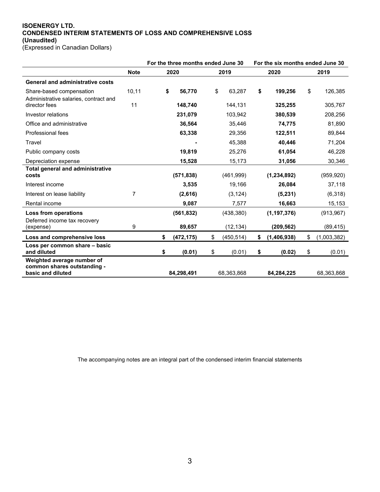## **ISOENERGY LTD. CONDENSED INTERIM STATEMENTS OF LOSS AND COMPREHENSIVE LOSS (Unaudited)**

(Expressed in Canadian Dollars)

|                                                                                |                | For the three months ended June 30 |            |      | For the six months ended June 30 |      |               |    |             |
|--------------------------------------------------------------------------------|----------------|------------------------------------|------------|------|----------------------------------|------|---------------|----|-------------|
|                                                                                | <b>Note</b>    |                                    | 2020       | 2019 |                                  | 2020 |               |    | 2019        |
| <b>General and administrative costs</b>                                        |                |                                    |            |      |                                  |      |               |    |             |
| Share-based compensation<br>Administrative salaries, contract and              | 10,11          | \$                                 | 56,770     | \$   | 63,287                           | \$   | 199,256       | \$ | 126,385     |
| director fees                                                                  | 11             |                                    | 148,740    |      | 144,131                          |      | 325,255       |    | 305,767     |
| Investor relations                                                             |                |                                    | 231,079    |      | 103,942                          |      | 380,539       |    | 208,256     |
| Office and administrative                                                      |                |                                    | 36,564     |      | 35,446                           |      | 74,775        |    | 81,890      |
| Professional fees                                                              |                |                                    | 63,338     |      | 29,356                           |      | 122,511       |    | 89,844      |
| Travel                                                                         |                |                                    |            |      | 45,388                           |      | 40,446        |    | 71,204      |
| Public company costs                                                           |                |                                    | 19,819     |      | 25,276                           |      | 61,054        |    | 46,228      |
| Depreciation expense                                                           |                |                                    | 15,528     |      | 15,173                           |      | 31,056        |    | 30,346      |
| <b>Total general and administrative</b><br>costs                               |                |                                    | (571, 838) |      | (461,999)                        |      | (1, 234, 892) |    | (959, 920)  |
| Interest income                                                                |                |                                    | 3,535      |      | 19,166                           |      | 26,084        |    | 37,118      |
| Interest on lease liability                                                    | $\overline{7}$ |                                    | (2,616)    |      | (3, 124)                         |      | (5, 231)      |    | (6,318)     |
| Rental income                                                                  |                |                                    | 9,087      |      | 7,577                            |      | 16,663        |    | 15,153      |
| Loss from operations<br>Deferred income tax recovery                           |                |                                    | (561, 832) |      | (438, 380)                       |      | (1, 197, 376) |    | (913, 967)  |
| (expense)                                                                      | 9              |                                    | 89,657     |      | (12, 134)                        |      | (209, 562)    |    | (89, 415)   |
| Loss and comprehensive loss                                                    |                | \$                                 | (472, 175) | \$   | (450, 514)                       | \$   | (1,406,938)   | \$ | (1,003,382) |
| Loss per common share - basic<br>and diluted                                   |                | \$                                 | (0.01)     | \$   | (0.01)                           | \$   | (0.02)        | \$ | (0.01)      |
| Weighted average number of<br>common shares outstanding -<br>basic and diluted |                |                                    | 84,298,491 |      | 68,363,868                       |      | 84,284,225    |    | 68,363,868  |

The accompanying notes are an integral part of the condensed interim financial statements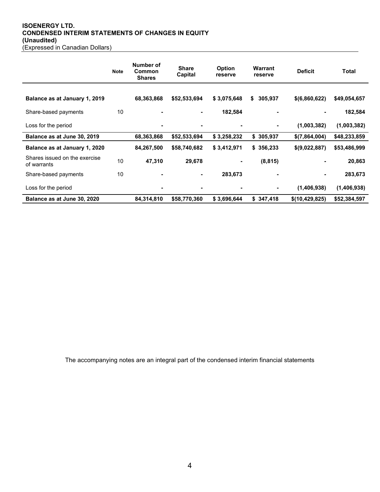## **ISOENERGY LTD. CONDENSED INTERIM STATEMENTS OF CHANGES IN EQUITY (Unaudited)** (Expressed in Canadian Dollars)

|                                              | <b>Note</b> | Number of<br>Common<br><b>Shares</b> | <b>Share</b><br>Capital | <b>Option</b><br>reserve | <b>Warrant</b><br>reserve | <b>Deficit</b> | Total        |
|----------------------------------------------|-------------|--------------------------------------|-------------------------|--------------------------|---------------------------|----------------|--------------|
|                                              |             |                                      |                         |                          |                           |                |              |
| Balance as at January 1, 2019                |             | 68,363,868                           | \$52,533,694            | \$3,075,648              | \$<br>305,937             | \$(6,860,622)  | \$49,054,657 |
| Share-based payments                         | 10          |                                      |                         | 182,584                  |                           |                | 182,584      |
| Loss for the period                          |             |                                      |                         |                          |                           | (1,003,382)    | (1,003,382)  |
| Balance as at June 30, 2019                  |             | 68,363,868                           | \$52,533,694            | \$3,258,232              | \$305,937                 | \$(7,864,004)  | \$48,233,859 |
| Balance as at January 1, 2020                |             | 84,267,500                           | \$58,740,682            | \$3,412,971              | \$356,233                 | \$(9,022,887)  | \$53,486,999 |
| Shares issued on the exercise<br>of warrants | 10          | 47,310                               | 29,678                  |                          | (8, 815)                  |                | 20,863       |
| Share-based payments                         | 10          |                                      |                         | 283,673                  |                           | ۰              | 283,673      |
| Loss for the period                          |             |                                      |                         |                          |                           | (1,406,938)    | (1,406,938)  |
| Balance as at June 30, 2020                  |             | 84,314,810                           | \$58,770,360            | \$3,696,644              | \$347,418                 | \$(10,429,825) | \$52,384,597 |

The accompanying notes are an integral part of the condensed interim financial statements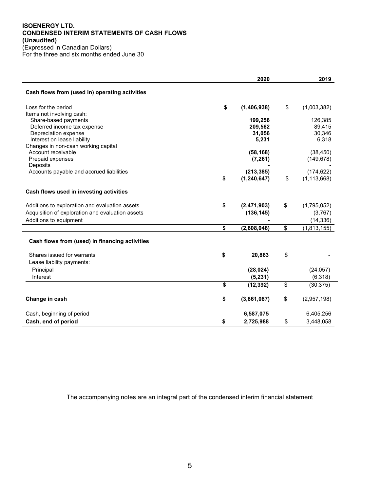### **ISOENERGY LTD. CONDENSED INTERIM STATEMENTS OF CASH FLOWS (Unaudited)** (Expressed in Canadian Dollars) For the three and six months ended June 30

|                                                                                                                                               | 2020                            | 2019                         |
|-----------------------------------------------------------------------------------------------------------------------------------------------|---------------------------------|------------------------------|
| Cash flows from (used in) operating activities                                                                                                |                                 |                              |
| Loss for the period                                                                                                                           | \$<br>(1,406,938)               | \$<br>(1,003,382)            |
| Items not involving cash:                                                                                                                     |                                 |                              |
| Share-based payments                                                                                                                          | 199,256                         | 126,385                      |
| Deferred income tax expense<br>Depreciation expense                                                                                           | 209,562<br>31,056               | 89,415<br>30,346             |
| Interest on lease liability                                                                                                                   | 5,231                           | 6,318                        |
| Changes in non-cash working capital                                                                                                           |                                 |                              |
| Account receivable                                                                                                                            | (58, 168)                       | (38, 450)                    |
| Prepaid expenses                                                                                                                              | (7, 261)                        | (149, 678)                   |
| Deposits                                                                                                                                      |                                 |                              |
| Accounts payable and accrued liabilities                                                                                                      | (213, 385)                      | (174, 622)                   |
|                                                                                                                                               | \$<br>(1, 240, 647)             | \$<br>(1, 113, 668)          |
| Cash flows used in investing activities<br>Additions to exploration and evaluation assets<br>Acquisition of exploration and evaluation assets | \$<br>(2,471,903)<br>(136, 145) | \$<br>(1,795,052)<br>(3,767) |
| Additions to equipment                                                                                                                        |                                 | (14, 336)                    |
|                                                                                                                                               | \$<br>(2,608,048)               | \$<br>(1,813,155)            |
| Cash flows from (used) in financing activities                                                                                                |                                 |                              |
| Shares issued for warrants                                                                                                                    | \$<br>20,863                    | \$                           |
| Lease liability payments:                                                                                                                     |                                 |                              |
| Principal                                                                                                                                     | (28, 024)                       | (24, 057)                    |
| Interest                                                                                                                                      | (5, 231)                        | (6, 318)                     |
|                                                                                                                                               | \$<br>(12, 392)                 | \$<br>(30, 375)              |
| Change in cash                                                                                                                                | \$<br>(3,861,087)               | \$<br>(2,957,198)            |
| Cash, beginning of period                                                                                                                     | 6,587,075                       | 6,405,256                    |
| Cash, end of period                                                                                                                           | \$<br>2,725,988                 | \$<br>3,448,058              |

The accompanying notes are an integral part of the condensed interim financial statement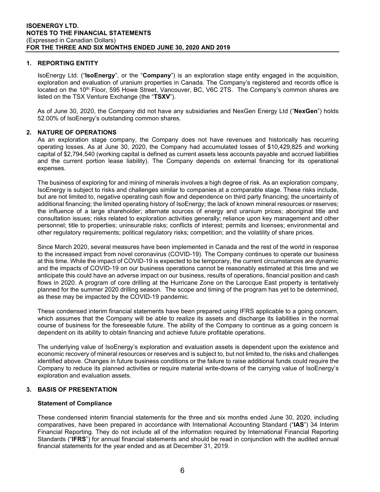#### **1. REPORTING ENTITY**

IsoEnergy Ltd. ("**IsoEnergy**", or the "**Company**") is an exploration stage entity engaged in the acquisition, exploration and evaluation of uranium properties in Canada. The Company's registered and records office is located on the 10<sup>th</sup> Floor, 595 Howe Street, Vancouver, BC, V6C 2TS. The Company's common shares are listed on the TSX Venture Exchange (the "**TSXV**").

As of June 30, 2020, the Company did not have any subsidiaries and NexGen Energy Ltd ("**NexGen**") holds 52.00% of IsoEnergy's outstanding common shares.

## **2. NATURE OF OPERATIONS**

As an exploration stage company, the Company does not have revenues and historically has recurring operating losses. As at June 30, 2020, the Company had accumulated losses of \$10,429,825 and working capital of \$2,794,540 (working capital is defined as current assets less accounts payable and accrued liabilities and the current portion lease liability). The Company depends on external financing for its operational expenses.

The business of exploring for and mining of minerals involves a high degree of risk. As an exploration company, IsoEnergy is subject to risks and challenges similar to companies at a comparable stage. These risks include, but are not limited to, negative operating cash flow and dependence on third party financing; the uncertainty of additional financing; the limited operating history of IsoEnergy; the lack of known mineral resources or reserves; the influence of a large shareholder; alternate sources of energy and uranium prices; aboriginal title and consultation issues; risks related to exploration activities generally; reliance upon key management and other personnel; title to properties; uninsurable risks; conflicts of interest; permits and licenses; environmental and other regulatory requirements; political regulatory risks; competition; and the volatility of share prices.

Since March 2020, several measures have been implemented in Canada and the rest of the world in response to the increased impact from novel coronavirus (COVID-19). The Company continues to operate our business at this time. While the impact of COVID-19 is expected to be temporary, the current circumstances are dynamic and the impacts of COVID-19 on our business operations cannot be reasonably estimated at this time and we anticipate this could have an adverse impact on our business, results of operations, financial position and cash flows in 2020. A program of core drilling at the Hurricane Zone on the Larocque East property is tentatively planned for the summer 2020 drilling season. The scope and timing of the program has yet to be determined, as these may be impacted by the COVID-19 pandemic.

These condensed interim financial statements have been prepared using IFRS applicable to a going concern, which assumes that the Company will be able to realize its assets and discharge its liabilities in the normal course of business for the foreseeable future. The ability of the Company to continue as a going concern is dependent on its ability to obtain financing and achieve future profitable operations.

The underlying value of IsoEnergy's exploration and evaluation assets is dependent upon the existence and economic recovery of mineral resources or reserves and is subject to, but not limited to, the risks and challenges identified above. Changes in future business conditions or the failure to raise additional funds could require the Company to reduce its planned activities or require material write-downs of the carrying value of IsoEnergy's exploration and evaluation assets.

## **3. BASIS OF PRESENTATION**

#### **Statement of Compliance**

These condensed interim financial statements for the three and six months ended June 30, 2020, including comparatives, have been prepared in accordance with International Accounting Standard ("**IAS**") 34 Interim Financial Reporting. They do not include all of the information required by International Financial Reporting Standards ("**IFRS**") for annual financial statements and should be read in conjunction with the audited annual financial statements for the year ended and as at December 31, 2019.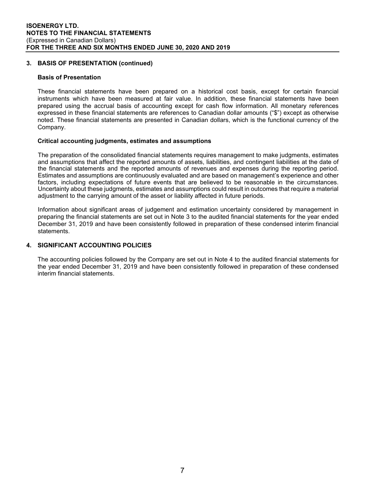#### **3. BASIS OF PRESENTATION (continued)**

#### **Basis of Presentation**

These financial statements have been prepared on a historical cost basis, except for certain financial instruments which have been measured at fair value. In addition, these financial statements have been prepared using the accrual basis of accounting except for cash flow information. All monetary references expressed in these financial statements are references to Canadian dollar amounts ("\$") except as otherwise noted. These financial statements are presented in Canadian dollars, which is the functional currency of the Company.

## **Critical accounting judgments, estimates and assumptions**

The preparation of the consolidated financial statements requires management to make judgments, estimates and assumptions that affect the reported amounts of assets, liabilities, and contingent liabilities at the date of the financial statements and the reported amounts of revenues and expenses during the reporting period. Estimates and assumptions are continuously evaluated and are based on management's experience and other factors, including expectations of future events that are believed to be reasonable in the circumstances. Uncertainty about these judgments, estimates and assumptions could result in outcomes that require a material adjustment to the carrying amount of the asset or liability affected in future periods.

Information about significant areas of judgement and estimation uncertainty considered by management in preparing the financial statements are set out in Note 3 to the audited financial statements for the year ended December 31, 2019 and have been consistently followed in preparation of these condensed interim financial statements.

## **4. SIGNIFICANT ACCOUNTING POLICIES**

The accounting policies followed by the Company are set out in Note 4 to the audited financial statements for the year ended December 31, 2019 and have been consistently followed in preparation of these condensed interim financial statements.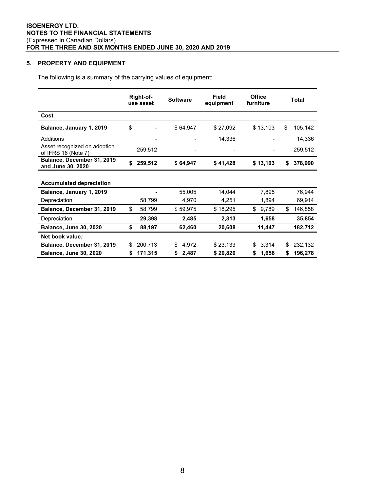## **5. PROPERTY AND EQUIPMENT**

The following is a summary of the carrying values of equipment:

|                                                     | Right-of-<br>use asset | <b>Software</b> | <b>Field</b><br>equipment | <b>Office</b><br>furniture | Total         |
|-----------------------------------------------------|------------------------|-----------------|---------------------------|----------------------------|---------------|
| Cost                                                |                        |                 |                           |                            |               |
| Balance, January 1, 2019                            | \$                     | \$64,947        | \$27,092                  | \$13,103                   | \$<br>105,142 |
| <b>Additions</b>                                    |                        |                 | 14,336                    |                            | 14,336        |
| Asset recognized on adoption<br>of IFRS 16 (Note 7) | 259,512                |                 |                           |                            | 259,512       |
| Balance, December 31, 2019<br>and June 30, 2020     | \$<br>259,512          | \$64,947        | \$41,428                  | \$13,103                   | \$<br>378,990 |
| <b>Accumulated depreciation</b>                     |                        |                 |                           |                            |               |
| Balance, January 1, 2019                            |                        | 55,005          | 14,044                    | 7,895                      | 76,944        |
| Depreciation                                        | 58,799                 | 4,970           | 4,251                     | 1,894                      | 69,914        |
| Balance, December 31, 2019                          | \$<br>58,799           | \$59,975        | \$18,295                  | \$<br>9,789                | \$<br>146,858 |
| Depreciation                                        | 29,398                 | 2,485           | 2,313                     | 1,658                      | 35,854        |
| <b>Balance, June 30, 2020</b>                       | \$<br>88,197           | 62,460          | 20,608                    | 11,447                     | 182,712       |
| Net book value:                                     |                        |                 |                           |                            |               |
| Balance, December 31, 2019                          | \$<br>200,713          | 4,972<br>\$     | \$23,133                  | 3,314<br>\$                | \$<br>232,132 |
| <b>Balance, June 30, 2020</b>                       | \$<br>171,315          | 2,487<br>\$     | \$20,820                  | 1,656<br>\$                | \$<br>196,278 |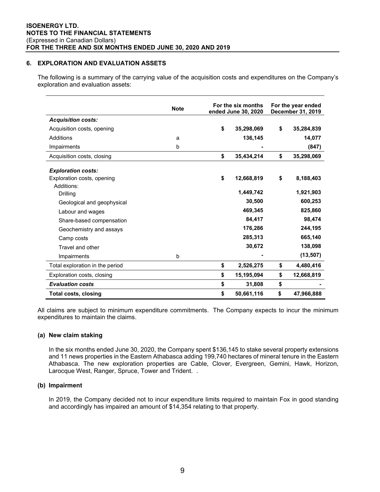## **6. EXPLORATION AND EVALUATION ASSETS**

The following is a summary of the carrying value of the acquisition costs and expenditures on the Company's exploration and evaluation assets:

|                                 | <b>Note</b> | For the six months<br>ended June 30, 2020 |    | For the year ended<br>December 31, 2019 |
|---------------------------------|-------------|-------------------------------------------|----|-----------------------------------------|
| <b>Acquisition costs:</b>       |             |                                           |    |                                         |
| Acquisition costs, opening      |             | \$<br>35,298,069                          | \$ | 35,284,839                              |
| Additions                       | a           | 136,145                                   |    | 14,077                                  |
| Impairments                     | b           |                                           |    | (847)                                   |
| Acquisition costs, closing      |             | \$<br>35,434,214                          | \$ | 35,298,069                              |
| <b>Exploration costs:</b>       |             |                                           |    |                                         |
| Exploration costs, opening      |             | \$<br>12,668,819                          | \$ | 8,188,403                               |
| Additions:                      |             |                                           |    |                                         |
| Drilling                        |             | 1,449,742                                 |    | 1,921,903                               |
| Geological and geophysical      |             | 30,500                                    |    | 600,253                                 |
| Labour and wages                |             | 469,345                                   |    | 825,860                                 |
| Share-based compensation        |             | 84,417                                    |    | 98,474                                  |
| Geochemistry and assays         |             | 176,286                                   |    | 244,195                                 |
| Camp costs                      |             | 285,313                                   |    | 665,140                                 |
| Travel and other                |             | 30,672                                    |    | 138,098                                 |
| Impairments                     | b           |                                           |    | (13, 507)                               |
| Total exploration in the period |             | \$<br>2,526,275                           | \$ | 4,480,416                               |
| Exploration costs, closing      |             | \$<br>15,195,094                          | \$ | 12,668,819                              |
| <b>Evaluation costs</b>         |             | \$<br>31,808                              | \$ |                                         |
| <b>Total costs, closing</b>     |             | \$<br>50,661,116                          | \$ | 47,966,888                              |

All claims are subject to minimum expenditure commitments. The Company expects to incur the minimum expenditures to maintain the claims.

#### **(a) New claim staking**

In the six months ended June 30, 2020, the Company spent \$136,145 to stake several property extensions and 11 news properties in the Eastern Athabasca adding 199,740 hectares of mineral tenure in the Eastern Athabasca. The new exploration properties are Cable, Clover, Evergreen, Gemini, Hawk, Horizon, Larocque West, Ranger, Spruce, Tower and Trident. .

## **(b) Impairment**

In 2019, the Company decided not to incur expenditure limits required to maintain Fox in good standing and accordingly has impaired an amount of \$14,354 relating to that property.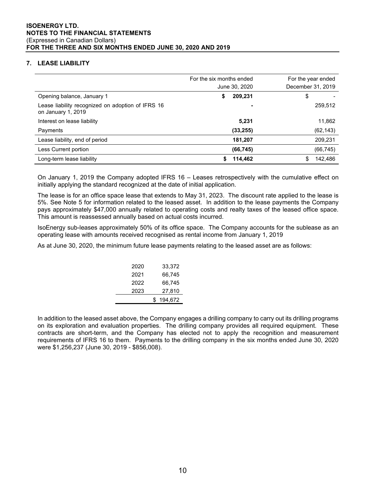## **7. LEASE LIABILITY**

|                                                                         | For the six months ended<br>June 30, 2020 | For the year ended<br>December 31, 2019 |
|-------------------------------------------------------------------------|-------------------------------------------|-----------------------------------------|
| Opening balance, January 1                                              | 209,231<br>\$                             | \$                                      |
| Lease liability recognized on adoption of IFRS 16<br>on January 1, 2019 |                                           | 259,512                                 |
| Interest on lease liability                                             | 5,231                                     | 11,862                                  |
| Payments                                                                | (33, 255)                                 | (62, 143)                               |
| Lease liability, end of period                                          | 181,207                                   | 209,231                                 |
| Less Current portion                                                    | (66, 745)                                 | (66, 745)                               |
| Long-term lease liability                                               | 114,462                                   | 142.486<br>S.                           |

On January 1, 2019 the Company adopted IFRS 16 – Leases retrospectively with the cumulative effect on initially applying the standard recognized at the date of initial application.

The lease is for an office space lease that extends to May 31, 2023. The discount rate applied to the lease is 5%. See Note 5 for information related to the leased asset. In addition to the lease payments the Company pays approximately \$47,000 annually related to operating costs and realty taxes of the leased office space. This amount is reassessed annually based on actual costs incurred.

IsoEnergy sub-leases approximately 50% of its office space. The Company accounts for the sublease as an operating lease with amounts received recognised as rental income from January 1, 2019

As at June 30, 2020, the minimum future lease payments relating to the leased asset are as follows:

| 66,745<br>2021 |
|----------------|
|                |
| 66,745<br>2022 |
| 27,810<br>2023 |
| 194.672<br>S.  |

In addition to the leased asset above, the Company engages a drilling company to carry out its drilling programs on its exploration and evaluation properties. The drilling company provides all required equipment. These contracts are short-term, and the Company has elected not to apply the recognition and measurement requirements of IFRS 16 to them. Payments to the drilling company in the six months ended June 30, 2020 were \$1,256,237 (June 30, 2019 - \$856,008).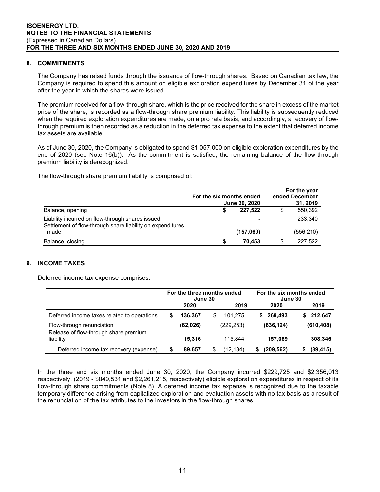#### **8. COMMITMENTS**

The Company has raised funds through the issuance of flow-through shares. Based on Canadian tax law, the Company is required to spend this amount on eligible exploration expenditures by December 31 of the year after the year in which the shares were issued.

The premium received for a flow-through share, which is the price received for the share in excess of the market price of the share, is recorded as a flow-through share premium liability. This liability is subsequently reduced when the required exploration expenditures are made, on a pro rata basis, and accordingly, a recovery of flowthrough premium is then recorded as a reduction in the deferred tax expense to the extent that deferred income tax assets are available.

As of June 30, 2020, the Company is obligated to spend \$1,057,000 on eligible exploration expenditures by the end of 2020 (see Note 16(b)). As the commitment is satisfied, the remaining balance of the flow-through premium liability is derecognized.

The flow-through share premium liability is comprised of:

|                                                                                                                | For the six months ended<br>June 30, 2020 | For the year<br>ended December<br>31, 2019 |    |           |
|----------------------------------------------------------------------------------------------------------------|-------------------------------------------|--------------------------------------------|----|-----------|
| Balance, opening                                                                                               |                                           | 227.522                                    |    | 550,392   |
| Liability incurred on flow-through shares issued<br>Settlement of flow-through share liability on expenditures |                                           |                                            |    | 233.340   |
| made                                                                                                           |                                           | (157,069)                                  |    | (556,210) |
| Balance, closing                                                                                               |                                           | 70.453                                     | S. | 227.522   |

## **9. INCOME TAXES**

Deferred income tax expense comprises:

|                                                                    | For the three months ended<br>June 30 |           |   | For the six months ended<br>June 30 |    |            |    |            |
|--------------------------------------------------------------------|---------------------------------------|-----------|---|-------------------------------------|----|------------|----|------------|
|                                                                    |                                       | 2020      |   | 2019                                |    | 2020       |    | 2019       |
| Deferred income taxes related to operations                        | S                                     | 136.367   | S | 101.275                             | S. | 269.493    | S. | 212.647    |
| Flow-through renunciation<br>Release of flow-through share premium |                                       | (62, 026) |   | (229,253)                           |    | (636, 124) |    | (610, 408) |
| liability                                                          |                                       | 15.316    |   | 115.844                             |    | 157.069    |    | 308,346    |
| Deferred income tax recovery (expense)                             | S                                     | 89.657    |   | (12,134)                            |    | (209, 562) |    | (89, 415)  |

In the three and six months ended June 30, 2020, the Company incurred \$229,725 and \$2,356,013 respectively, (2019 - \$849,531 and \$2,261,215, respectively) eligible exploration expenditures in respect of its flow-through share commitments (Note 8). A deferred income tax expense is recognized due to the taxable temporary difference arising from capitalized exploration and evaluation assets with no tax basis as a result of the renunciation of the tax attributes to the investors in the flow-through shares.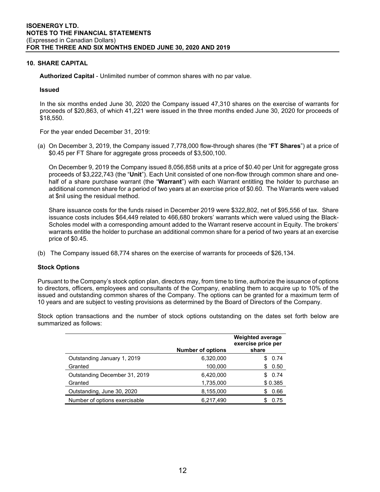#### **10. SHARE CAPITAL**

**Authorized Capital** - Unlimited number of common shares with no par value.

#### **Issued**

In the six months ended June 30, 2020 the Company issued 47,310 shares on the exercise of warrants for proceeds of \$20,863, of which 41,221 were issued in the three months ended June 30, 2020 for proceeds of \$18,550.

For the year ended December 31, 2019:

(a) On December 3, 2019, the Company issued 7,778,000 flow-through shares (the "**FT Shares**") at a price of \$0.45 per FT Share for aggregate gross proceeds of \$3,500,100.

On December 9, 2019 the Company issued 8,056,858 units at a price of \$0.40 per Unit for aggregate gross proceeds of \$3,222,743 (the "**Unit**"). Each Unit consisted of one non-flow through common share and onehalf of a share purchase warrant (the "**Warrant**") with each Warrant entitling the holder to purchase an additional common share for a period of two years at an exercise price of \$0.60. The Warrants were valued at \$nil using the residual method.

Share issuance costs for the funds raised in December 2019 were \$322,802, net of \$95,556 of tax. Share issuance costs includes \$64,449 related to 466,680 brokers' warrants which were valued using the Black-Scholes model with a corresponding amount added to the Warrant reserve account in Equity. The brokers' warrants entitle the holder to purchase an additional common share for a period of two years at an exercise price of \$0.45.

(b) The Company issued 68,774 shares on the exercise of warrants for proceeds of \$26,134.

#### **Stock Options**

Pursuant to the Company's stock option plan, directors may, from time to time, authorize the issuance of options to directors, officers, employees and consultants of the Company, enabling them to acquire up to 10% of the issued and outstanding common shares of the Company. The options can be granted for a maximum term of 10 years and are subject to vesting provisions as determined by the Board of Directors of the Company.

Stock option transactions and the number of stock options outstanding on the dates set forth below are summarized as follows:

|                               | <b>Number of options</b> | <b>Weighted average</b><br>exercise price per<br>share |
|-------------------------------|--------------------------|--------------------------------------------------------|
| Outstanding January 1, 2019   | 6,320,000                | 0.74<br>S                                              |
| Granted                       | 100,000                  | 0.50<br>S                                              |
| Outstanding December 31, 2019 | 6,420,000                | 0.74                                                   |
| Granted                       | 1,735,000                | \$0.385                                                |
| Outstanding, June 30, 2020    | 8,155,000                | 0.66                                                   |
| Number of options exercisable | 6,217,490                | 0.75                                                   |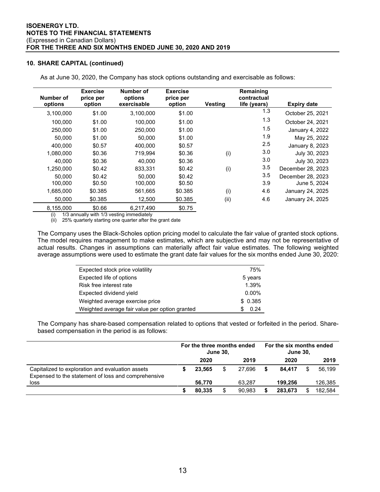### **10. SHARE CAPITAL (continued)**

| Number of | <b>Exercise</b><br>price per | Number of<br>options | <b>Exercise</b><br>price per |                | Remaining<br>contractual |                    |
|-----------|------------------------------|----------------------|------------------------------|----------------|--------------------------|--------------------|
| options   | option                       | exercisable          | option                       | <b>Vesting</b> | life (years)             | <b>Expiry date</b> |
| 3,100,000 | \$1.00                       | 3,100,000            | \$1.00                       |                | 1.3                      | October 25, 2021   |
| 100,000   | \$1.00                       | 100,000              | \$1.00                       |                | 1.3                      | October 24, 2021   |
| 250,000   | \$1.00                       | 250,000              | \$1.00                       |                | 1.5                      | January 4, 2022    |
| 50,000    | \$1.00                       | 50,000               | \$1.00                       |                | 1.9                      | May 25, 2022       |
| 400.000   | \$0.57                       | 400.000              | \$0.57                       |                | 2.5                      | January 8, 2023    |
| 1,080,000 | \$0.36                       | 719.994              | \$0.36                       | (i)            | 3.0                      | July 30, 2023      |
| 40.000    | \$0.36                       | 40.000               | \$0.36                       |                | 3.0                      | July 30, 2023      |
| 1,250,000 | \$0.42                       | 833,331              | \$0.42                       | (i)            | 3.5                      | December 28, 2023  |
| 50.000    | \$0.42                       | 50.000               | \$0.42                       |                | 3.5                      | December 28, 2023  |
| 100,000   | \$0.50                       | 100,000              | \$0.50                       |                | 3.9                      | June 5, 2024       |
| 1,685,000 | \$0.385                      | 561,665              | \$0.385                      | (i)            | 4.6                      | January 24, 2025   |
| 50,000    | \$0.385                      | 12,500               | \$0.385                      | (ii)           | 4.6                      | January 24, 2025   |
| 8,155,000 | \$0.66                       | 6.217.490            | \$0.75                       |                |                          |                    |

As at June 30, 2020, the Company has stock options outstanding and exercisable as follows:

(i) 1/3 annually with 1/3 vesting immediately

 $(iii)$  25% quarterly starting one quarter after the grant date

The Company uses the Black-Scholes option pricing model to calculate the fair value of granted stock options. The model requires management to make estimates, which are subjective and may not be representative of actual results. Changes in assumptions can materially affect fair value estimates. The following weighted average assumptions were used to estimate the grant date fair values for the six months ended June 30, 2020:

| Expected stock price volatility                | 75%      |
|------------------------------------------------|----------|
| Expected life of options                       | 5 years  |
| Risk free interest rate                        | 1.39%    |
| Expected dividend yield                        | $0.00\%$ |
| Weighted average exercise price                | \$0.385  |
| Weighted average fair value per option granted | 0.24     |

The Company has share-based compensation related to options that vested or forfeited in the period. Sharebased compensation in the period is as follows:

|                                                                                                         | For the three months ended<br><b>June 30.</b> |        |    | For the six months ended<br><b>June 30,</b> |   |         |  |         |
|---------------------------------------------------------------------------------------------------------|-----------------------------------------------|--------|----|---------------------------------------------|---|---------|--|---------|
|                                                                                                         |                                               | 2020   |    | 2019                                        |   | 2020    |  | 2019    |
| Capitalized to exploration and evaluation assets<br>Expensed to the statement of loss and comprehensive |                                               | 23.565 | \$ | 27.696                                      | S | 84.417  |  | 56.199  |
| loss                                                                                                    |                                               | 56.770 |    | 63,287                                      |   | 199.256 |  | 126,385 |
|                                                                                                         |                                               | 80.335 |    | 90.983                                      |   | 283.673 |  | 182.584 |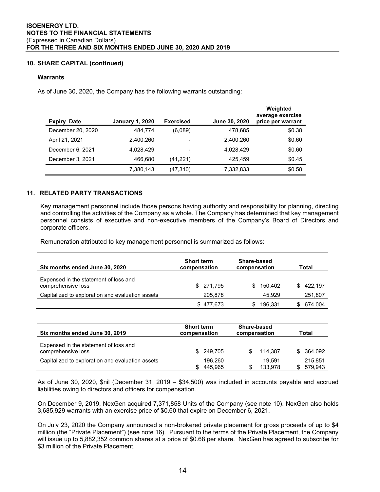## **10. SHARE CAPITAL (continued)**

#### **Warrants**

As of June 30, 2020, the Company has the following warrants outstanding:

| <b>Expiry</b><br><b>Date</b> | <b>January 1, 2020</b> | <b>Exercised</b> | June 30, 2020 | Weighted<br>average exercise<br>price per warrant |
|------------------------------|------------------------|------------------|---------------|---------------------------------------------------|
| December 20, 2020            | 484.774                | (6,089)          | 478,685       | \$0.38                                            |
| April 21, 2021               | 2,400,260              |                  | 2.400.260     | \$0.60                                            |
| December 6, 2021             | 4,028,429              |                  | 4,028,429     | \$0.60                                            |
| December 3, 2021             | 466,680                | (41, 221)        | 425.459       | \$0.45                                            |
|                              | 7,380,143              | (47, 310)        | 7,332,833     | \$0.58                                            |

## **11. RELATED PARTY TRANSACTIONS**

Key management personnel include those persons having authority and responsibility for planning, directing and controlling the activities of the Company as a whole. The Company has determined that key management personnel consists of executive and non-executive members of the Company's Board of Directors and corporate officers.

Remuneration attributed to key management personnel is summarized as follows:

| Six months ended June 30, 2020                              | Share-based<br><b>Short term</b><br>compensation<br>compensation |              | Total         |  |  |
|-------------------------------------------------------------|------------------------------------------------------------------|--------------|---------------|--|--|
| Expensed in the statement of loss and<br>comprehensive loss | \$271,795                                                        | 150.402<br>S | 422.197<br>S. |  |  |
| Capitalized to exploration and evaluation assets            | 205,878                                                          | 45.929       | 251,807       |  |  |
|                                                             | \$477.673                                                        | 196.331      | 674.004       |  |  |

| Six months ended June 30, 2019                              | <b>Short term</b><br>compensation | Share-based<br>compensation | Total      |  |  |
|-------------------------------------------------------------|-----------------------------------|-----------------------------|------------|--|--|
| Expensed in the statement of loss and<br>comprehensive loss | \$ 249,705                        | 114.387                     | \$ 364,092 |  |  |
| Capitalized to exploration and evaluation assets            | 196.260                           | 19.591                      | 215,851    |  |  |
|                                                             | 445.965                           | 133.978                     | 579.943    |  |  |

As of June 30, 2020, \$nil (December 31, 2019 – \$34,500) was included in accounts payable and accrued liabilities owing to directors and officers for compensation.

On December 9, 2019, NexGen acquired 7,371,858 Units of the Company (see note 10). NexGen also holds 3,685,929 warrants with an exercise price of \$0.60 that expire on December 6, 2021.

On July 23, 2020 the Company announced a non-brokered private placement for gross proceeds of up to \$4 million (the "Private Placement") (see note 16). Pursuant to the terms of the Private Placement, the Company will issue up to 5,882,352 common shares at a price of \$0.68 per share. NexGen has agreed to subscribe for \$3 million of the Private Placement.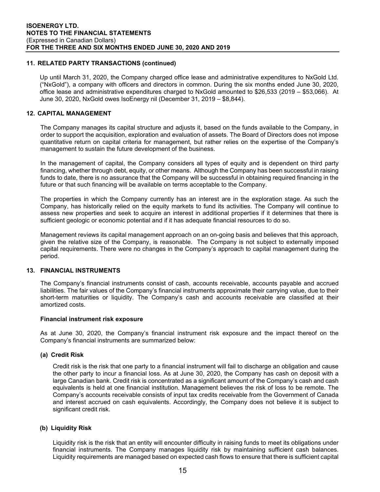## **11. RELATED PARTY TRANSACTIONS (continued)**

Up until March 31, 2020, the Company charged office lease and administrative expenditures to NxGold Ltd. ("NxGold"), a company with officers and directors in common. During the six months ended June 30, 2020, office lease and administrative expenditures charged to NxGold amounted to \$26,533 (2019 – \$53,066). At June 30, 2020, NxGold owes IsoEnergy nil (December 31, 2019 – \$8,844).

## **12. CAPITAL MANAGEMENT**

The Company manages its capital structure and adjusts it, based on the funds available to the Company, in order to support the acquisition, exploration and evaluation of assets. The Board of Directors does not impose quantitative return on capital criteria for management, but rather relies on the expertise of the Company's management to sustain the future development of the business.

In the management of capital, the Company considers all types of equity and is dependent on third party financing, whether through debt, equity, or other means. Although the Company has been successful in raising funds to date, there is no assurance that the Company will be successful in obtaining required financing in the future or that such financing will be available on terms acceptable to the Company.

The properties in which the Company currently has an interest are in the exploration stage. As such the Company, has historically relied on the equity markets to fund its activities. The Company will continue to assess new properties and seek to acquire an interest in additional properties if it determines that there is sufficient geologic or economic potential and if it has adequate financial resources to do so.

Management reviews its capital management approach on an on-going basis and believes that this approach, given the relative size of the Company, is reasonable. The Company is not subject to externally imposed capital requirements. There were no changes in the Company's approach to capital management during the period.

## **13. FINANCIAL INSTRUMENTS**

The Company's financial instruments consist of cash, accounts receivable, accounts payable and accrued liabilities. The fair values of the Company's financial instruments approximate their carrying value, due to their short-term maturities or liquidity. The Company's cash and accounts receivable are classified at their amortized costs.

#### **Financial instrument risk exposure**

As at June 30, 2020, the Company's financial instrument risk exposure and the impact thereof on the Company's financial instruments are summarized below:

#### **(a) Credit Risk**

Credit risk is the risk that one party to a financial instrument will fail to discharge an obligation and cause the other party to incur a financial loss. As at June 30, 2020, the Company has cash on deposit with a large Canadian bank. Credit risk is concentrated as a significant amount of the Company's cash and cash equivalents is held at one financial institution. Management believes the risk of loss to be remote. The Company's accounts receivable consists of input tax credits receivable from the Government of Canada and interest accrued on cash equivalents. Accordingly, the Company does not believe it is subject to significant credit risk.

#### **(b) Liquidity Risk**

Liquidity risk is the risk that an entity will encounter difficulty in raising funds to meet its obligations under financial instruments. The Company manages liquidity risk by maintaining sufficient cash balances. Liquidity requirements are managed based on expected cash flows to ensure that there is sufficient capital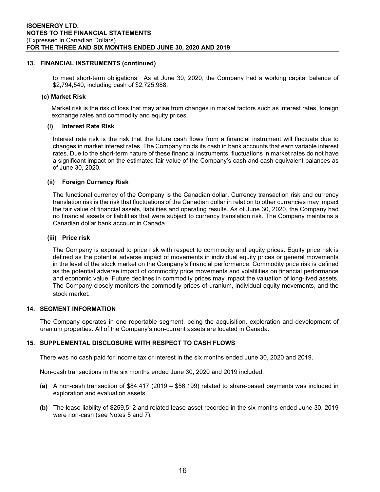#### **13. FINANCIAL INSTRUMENTS (continued)**

to meet short-term obligations. As at June 30, 2020, the Company had a working capital balance of \$2,794,540, including cash of \$2,725,988.

#### **(c) Market Risk**

Market risk is the risk of loss that may arise from changes in market factors such as interest rates, foreign exchange rates and commodity and equity prices.

## **(i) Interest Rate Risk**

Interest rate risk is the risk that the future cash flows from a financial instrument will fluctuate due to changes in market interest rates. The Company holds its cash in bank accounts that earn variable interest rates. Due to the short-term nature of these financial instruments, fluctuations in market rates do not have a significant impact on the estimated fair value of the Company's cash and cash equivalent balances as of June 30, 2020.

## **(ii) Foreign Currency Risk**

The functional currency of the Company is the Canadian dollar. Currency transaction risk and currency translation risk is the risk that fluctuations of the Canadian dollar in relation to other currencies may impact the fair value of financial assets, liabilities and operating results. As of June 30, 2020, the Company had no financial assets or liabilities that were subject to currency translation risk. The Company maintains a Canadian dollar bank account in Canada.

## **(iii) Price risk**

The Company is exposed to price risk with respect to commodity and equity prices. Equity price risk is defined as the potential adverse impact of movements in individual equity prices or general movements in the level of the stock market on the Company's financial performance. Commodity price risk is defined as the potential adverse impact of commodity price movements and volatilities on financial performance and economic value. Future declines in commodity prices may impact the valuation of long-lived assets. The Company closely monitors the commodity prices of uranium, individual equity movements, and the stock market.

#### **14. SEGMENT INFORMATION**

The Company operates in one reportable segment, being the acquisition, exploration and development of uranium properties. All of the Company's non-current assets are located in Canada.

## **15. SUPPLEMENTAL DISCLOSURE WITH RESPECT TO CASH FLOWS**

There was no cash paid for income tax or interest in the six months ended June 30, 2020 and 2019.

Non-cash transactions in the six months ended June 30, 2020 and 2019 included:

- **(a)** A non-cash transaction of \$84,417 (2019 \$56,199) related to share-based payments was included in exploration and evaluation assets.
- **(b)** The lease liability of \$259,512 and related lease asset recorded in the six months ended June 30, 2019 were non-cash (see Notes 5 and 7).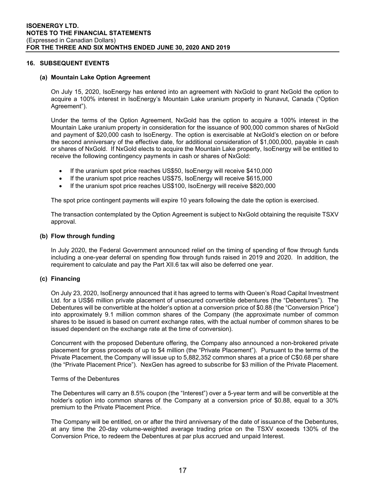#### **16. SUBSEQUENT EVENTS**

#### **(a) Mountain Lake Option Agreement**

On July 15, 2020, IsoEnergy has entered into an agreement with NxGold to grant NxGold the option to acquire a 100% interest in IsoEnergy's Mountain Lake uranium property in Nunavut, Canada ("Option Agreement").

Under the terms of the Option Agreement, NxGold has the option to acquire a 100% interest in the Mountain Lake uranium property in consideration for the issuance of 900,000 common shares of NxGold and payment of \$20,000 cash to IsoEnergy. The option is exercisable at NxGold's election on or before the second anniversary of the effective date, for additional consideration of \$1,000,000, payable in cash or shares of NxGold. If NxGold elects to acquire the Mountain Lake property, IsoEnergy will be entitled to receive the following contingency payments in cash or shares of NxGold:

- If the uranium spot price reaches US\$50, IsoEnergy will receive \$410,000
- If the uranium spot price reaches US\$75, IsoEnergy will receive \$615,000
- If the uranium spot price reaches US\$100, IsoEnergy will receive \$820,000

The spot price contingent payments will expire 10 years following the date the option is exercised.

The transaction contemplated by the Option Agreement is subject to NxGold obtaining the requisite TSXV approval.

#### **(b) Flow through funding**

In July 2020, the Federal Government announced relief on the timing of spending of flow through funds including a one-year deferral on spending flow through funds raised in 2019 and 2020. In addition, the requirement to calculate and pay the Part XII.6 tax will also be deferred one year.

#### **(c) Financing**

On July 23, 2020, IsoEnergy announced that it has agreed to terms with Queen's Road Capital Investment Ltd. for a US\$6 million private placement of unsecured convertible debentures (the "Debentures"). The Debentures will be convertible at the holder's option at a conversion price of \$0.88 (the "Conversion Price") into approximately 9.1 million common shares of the Company (the approximate number of common shares to be issued is based on current exchange rates, with the actual number of common shares to be issued dependent on the exchange rate at the time of conversion).

Concurrent with the proposed Debenture offering, the Company also announced a non-brokered private placement for gross proceeds of up to \$4 million (the "Private Placement"). Pursuant to the terms of the Private Placement, the Company will issue up to 5,882,352 common shares at a price of C\$0.68 per share (the "Private Placement Price"). NexGen has agreed to subscribe for \$3 million of the Private Placement.

#### Terms of the Debentures

The Debentures will carry an 8.5% coupon (the "Interest") over a 5-year term and will be convertible at the holder's option into common shares of the Company at a conversion price of \$0.88, equal to a 30% premium to the Private Placement Price.

The Company will be entitled, on or after the third anniversary of the date of issuance of the Debentures, at any time the 20-day volume-weighted average trading price on the TSXV exceeds 130% of the Conversion Price, to redeem the Debentures at par plus accrued and unpaid Interest.